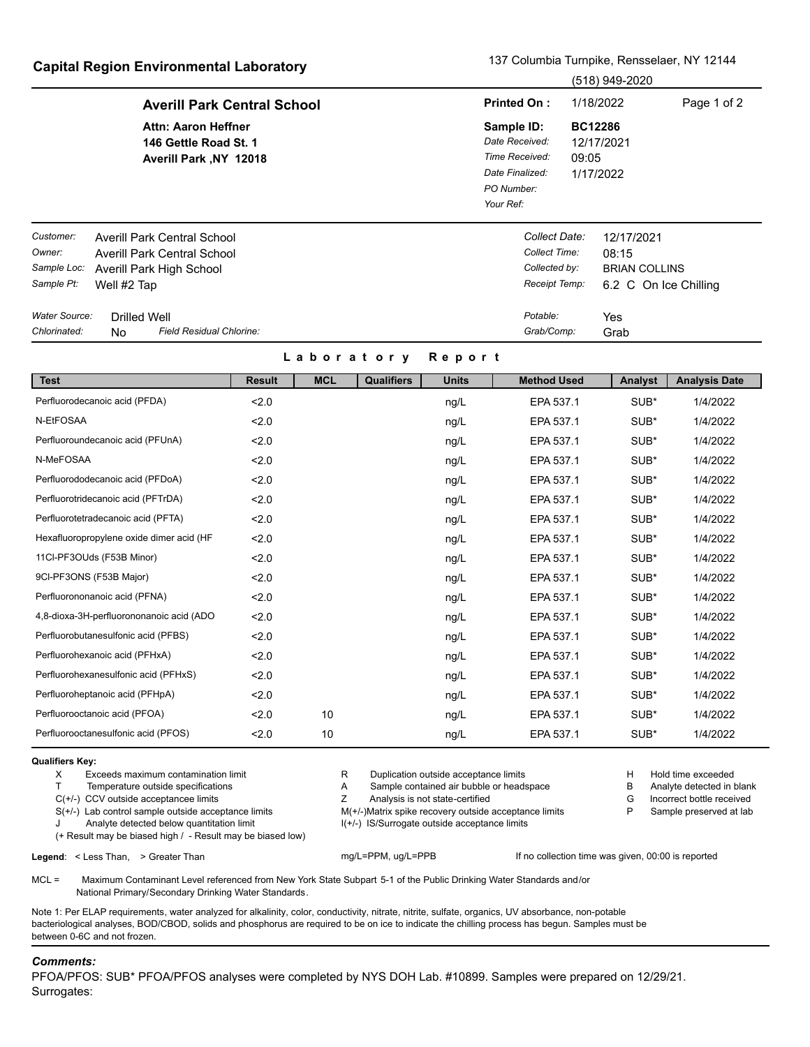## **Capital Region Environmental Laboratory** 137 Columbia Turnpike, Rensselaer, NY 12144

(518) 949-2020

|               |                                                                               | (UTU) <del>UTU-</del> ZUZU                                                                   |                                                    |  |  |  |
|---------------|-------------------------------------------------------------------------------|----------------------------------------------------------------------------------------------|----------------------------------------------------|--|--|--|
|               | <b>Averill Park Central School</b>                                            | <b>Printed On:</b>                                                                           | 1/18/2022<br>Page 1 of 2                           |  |  |  |
|               | <b>Attn: Aaron Heffner</b><br>146 Gettle Road St. 1<br>Averill Park, NY 12018 | Sample ID:<br>Date Received:<br>Time Received:<br>Date Finalized:<br>PO Number:<br>Your Ref: | <b>BC12286</b><br>12/17/2021<br>09:05<br>1/17/2022 |  |  |  |
| Customer:     | Averill Park Central School                                                   | Collect Date:                                                                                | 12/17/2021                                         |  |  |  |
| Owner:        | Averill Park Central School                                                   | Collect Time:                                                                                | 08:15                                              |  |  |  |
| Sample Loc:   | Averill Park High School                                                      | Collected by:                                                                                | <b>BRIAN COLLINS</b>                               |  |  |  |
| Sample Pt:    | Well #2 Tap                                                                   | Receipt Temp:                                                                                | 6.2 C On Ice Chilling                              |  |  |  |
| Water Source: | Drilled Well                                                                  | Potable:                                                                                     | Yes                                                |  |  |  |
| Chlorinated:  | <b>Field Residual Chlorine:</b><br>No                                         | Grab/Comp:                                                                                   | Grab                                               |  |  |  |

## **L a b o r a t o r y R e p o r t**

| <b>Test</b>                              | <b>Result</b> | <b>MCL</b> | <b>Qualifiers</b> | <b>Units</b> | <b>Method Used</b> | Analyst | <b>Analysis Date</b> |
|------------------------------------------|---------------|------------|-------------------|--------------|--------------------|---------|----------------------|
| Perfluorodecanoic acid (PFDA)            | 2.0           |            |                   | ng/L         | EPA 537.1          | SUB*    | 1/4/2022             |
| N-EtFOSAA                                | 2.0           |            |                   | ng/L         | EPA 537.1          | SUB*    | 1/4/2022             |
| Perfluoroundecanoic acid (PFUnA)         | 2.0           |            |                   | ng/L         | EPA 537.1          | SUB*    | 1/4/2022             |
| N-MeFOSAA                                | 2.0           |            |                   | ng/L         | EPA 537.1          | SUB*    | 1/4/2022             |
| Perfluorododecanoic acid (PFDoA)         | 2.0           |            |                   | ng/L         | EPA 537.1          | SUB*    | 1/4/2022             |
| Perfluorotridecanoic acid (PFTrDA)       | 2.0           |            |                   | ng/L         | EPA 537.1          | SUB*    | 1/4/2022             |
| Perfluorotetradecanoic acid (PFTA)       | 2.0           |            |                   | ng/L         | EPA 537.1          | SUB*    | 1/4/2022             |
| Hexafluoropropylene oxide dimer acid (HF | 2.0           |            |                   | ng/L         | EPA 537.1          | SUB*    | 1/4/2022             |
| 11Cl-PF3OUds (F53B Minor)                | 2.0           |            |                   | ng/L         | EPA 537.1          | SUB*    | 1/4/2022             |
| 9CI-PF3ONS (F53B Major)                  | 2.0           |            |                   | ng/L         | EPA 537.1          | SUB*    | 1/4/2022             |
| Perfluorononanoic acid (PFNA)            | 2.0           |            |                   | ng/L         | EPA 537.1          | SUB*    | 1/4/2022             |
| 4,8-dioxa-3H-perfluorononanoic acid (ADO | 2.0           |            |                   | ng/L         | EPA 537.1          | SUB*    | 1/4/2022             |
| Perfluorobutanesulfonic acid (PFBS)      | 2.0           |            |                   | ng/L         | EPA 537.1          | SUB*    | 1/4/2022             |
| Perfluorohexanoic acid (PFHxA)           | 2.0           |            |                   | ng/L         | EPA 537.1          | SUB*    | 1/4/2022             |
| Perfluorohexanesulfonic acid (PFHxS)     | 2.0           |            |                   | ng/L         | EPA 537.1          | SUB*    | 1/4/2022             |
| Perfluoroheptanoic acid (PFHpA)          | 2.0           |            |                   | ng/L         | EPA 537.1          | SUB*    | 1/4/2022             |
| Perfluorooctanoic acid (PFOA)            | 2.0           | 10         |                   | ng/L         | EPA 537.1          | SUB*    | 1/4/2022             |
| Perfluorooctanesulfonic acid (PFOS)      | 2.0           | 10         |                   | ng/L         | EPA 537.1          | SUB*    | 1/4/2022             |

## **Qualifiers Key:**

- T Temperature outside specifications T A Sample contained air bubble or headspace B Analyte detected in blank
- C(+/-) CCV outside acceptancee limits The Mathematic C(+/-) CCV outside acceptancee limits The State Certified C(+/-) CCV outside acceptancee limits The State Certified C(+/-) CCV outside acceptancee limits
- 
- (+ Result may be biased high / Result may be biased low)

X Exceeds maximum contamination limit The Superior of R Duplication outside acceptance limits and the Hold time exceeded<br>T Temperature outside specifications The Sample contained air bubble or headspace The Analyte detecte

- 
- 

S(+/-) Lab control sample outside acceptance limits M(+/-)Matrix spike recovery outside acceptance limits P Sample preserved at lab Analyte detected below quantitation limit **ICO 11 Analyte outside acceptance limits** I(+/-) IS/Surrogate outside acceptance limits

Legend: < Less Than, > Greater Than mg/L=PPM, ug/L=PPM, ug/L=PPB If no collection time was given, 00:00 is reported

MCL = Maximum Contaminant Level referenced from New York State Subpart 5-1 of the Public Drinking Water Standards and/or National Primary/Secondary Drinking Water Standards.

Note 1: Per ELAP requirements, water analyzed for alkalinity, color, conductivity, nitrate, nitrite, sulfate, organics, UV absorbance, non-potable bacteriological analyses, BOD/CBOD, solids and phosphorus are required to be on ice to indicate the chilling process has begun. Samples must be between 0-6C and not frozen.

## *Comments:*

PFOA/PFOS: SUB\* PFOA/PFOS analyses were completed by NYS DOH Lab. #10899. Samples were prepared on 12/29/21. Surrogates: